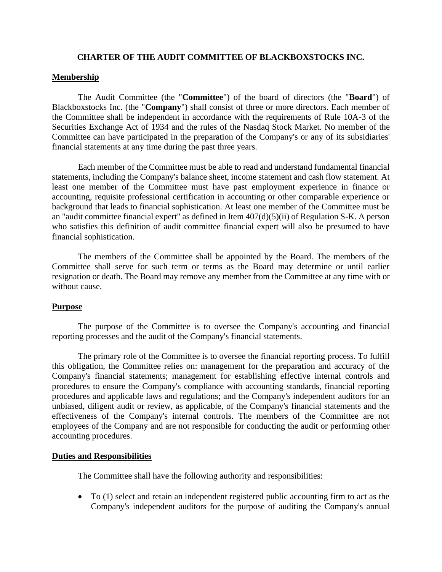# **CHARTER OF THE AUDIT COMMITTEE OF BLACKBOXSTOCKS INC.**

## **Membership**

The Audit Committee (the "**Committee**") of the board of directors (the "**Board**") of Blackboxstocks Inc. (the "**Company**") shall consist of three or more directors. Each member of the Committee shall be independent in accordance with the requirements of Rule 10A-3 of the Securities Exchange Act of 1934 and the rules of the Nasdaq Stock Market. No member of the Committee can have participated in the preparation of the Company's or any of its subsidiaries' financial statements at any time during the past three years.

Each member of the Committee must be able to read and understand fundamental financial statements, including the Company's balance sheet, income statement and cash flow statement. At least one member of the Committee must have past employment experience in finance or accounting, requisite professional certification in accounting or other comparable experience or background that leads to financial sophistication. At least one member of the Committee must be an "audit committee financial expert" as defined in Item 407(d)(5)(ii) of Regulation S-K. A person who satisfies this definition of audit committee financial expert will also be presumed to have financial sophistication.

The members of the Committee shall be appointed by the Board. The members of the Committee shall serve for such term or terms as the Board may determine or until earlier resignation or death. The Board may remove any member from the Committee at any time with or without cause.

## **Purpose**

The purpose of the Committee is to oversee the Company's accounting and financial reporting processes and the audit of the Company's financial statements.

The primary role of the Committee is to oversee the financial reporting process. To fulfill this obligation, the Committee relies on: management for the preparation and accuracy of the Company's financial statements; management for establishing effective internal controls and procedures to ensure the Company's compliance with accounting standards, financial reporting procedures and applicable laws and regulations; and the Company's independent auditors for an unbiased, diligent audit or review, as applicable, of the Company's financial statements and the effectiveness of the Company's internal controls. The members of the Committee are not employees of the Company and are not responsible for conducting the audit or performing other accounting procedures.

#### **Duties and Responsibilities**

The Committee shall have the following authority and responsibilities:

• To (1) select and retain an independent registered public accounting firm to act as the Company's independent auditors for the purpose of auditing the Company's annual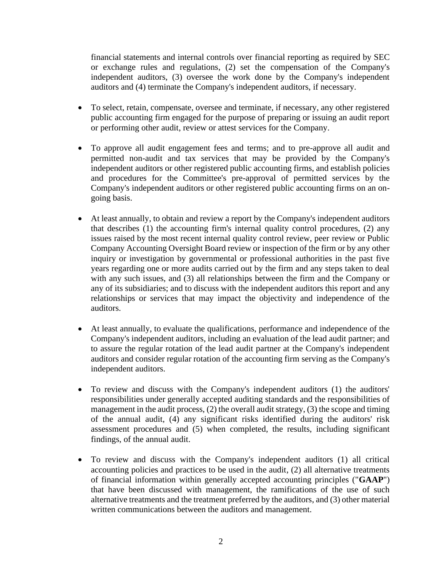financial statements and internal controls over financial reporting as required by SEC or exchange rules and regulations, (2) set the compensation of the Company's independent auditors, (3) oversee the work done by the Company's independent auditors and (4) terminate the Company's independent auditors, if necessary.

- To select, retain, compensate, oversee and terminate, if necessary, any other registered public accounting firm engaged for the purpose of preparing or issuing an audit report or performing other audit, review or attest services for the Company.
- To approve all audit engagement fees and terms; and to pre-approve all audit and permitted non-audit and tax services that may be provided by the Company's independent auditors or other registered public accounting firms, and establish policies and procedures for the Committee's pre-approval of permitted services by the Company's independent auditors or other registered public accounting firms on an ongoing basis.
- At least annually, to obtain and review a report by the Company's independent auditors that describes (1) the accounting firm's internal quality control procedures, (2) any issues raised by the most recent internal quality control review, peer review or Public Company Accounting Oversight Board review or inspection of the firm or by any other inquiry or investigation by governmental or professional authorities in the past five years regarding one or more audits carried out by the firm and any steps taken to deal with any such issues, and (3) all relationships between the firm and the Company or any of its subsidiaries; and to discuss with the independent auditors this report and any relationships or services that may impact the objectivity and independence of the auditors.
- At least annually, to evaluate the qualifications, performance and independence of the Company's independent auditors, including an evaluation of the lead audit partner; and to assure the regular rotation of the lead audit partner at the Company's independent auditors and consider regular rotation of the accounting firm serving as the Company's independent auditors.
- To review and discuss with the Company's independent auditors (1) the auditors' responsibilities under generally accepted auditing standards and the responsibilities of management in the audit process, (2) the overall audit strategy, (3) the scope and timing of the annual audit, (4) any significant risks identified during the auditors' risk assessment procedures and (5) when completed, the results, including significant findings, of the annual audit.
- To review and discuss with the Company's independent auditors (1) all critical accounting policies and practices to be used in the audit, (2) all alternative treatments of financial information within generally accepted accounting principles ("**GAAP**") that have been discussed with management, the ramifications of the use of such alternative treatments and the treatment preferred by the auditors, and (3) other material written communications between the auditors and management.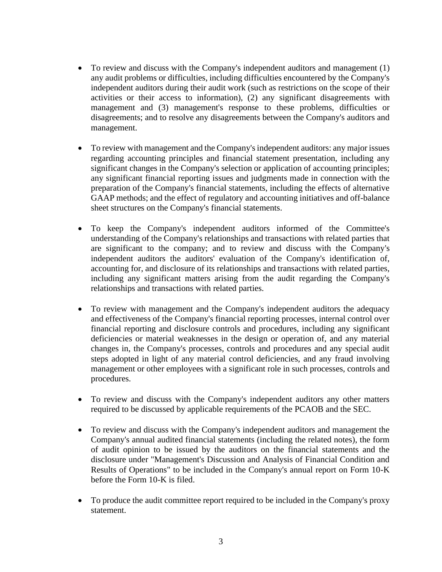- To review and discuss with the Company's independent auditors and management (1) any audit problems or difficulties, including difficulties encountered by the Company's independent auditors during their audit work (such as restrictions on the scope of their activities or their access to information), (2) any significant disagreements with management and (3) management's response to these problems, difficulties or disagreements; and to resolve any disagreements between the Company's auditors and management.
- To review with management and the Company's independent auditors: any major issues regarding accounting principles and financial statement presentation, including any significant changes in the Company's selection or application of accounting principles; any significant financial reporting issues and judgments made in connection with the preparation of the Company's financial statements, including the effects of alternative GAAP methods; and the effect of regulatory and accounting initiatives and off-balance sheet structures on the Company's financial statements.
- To keep the Company's independent auditors informed of the Committee's understanding of the Company's relationships and transactions with related parties that are significant to the company; and to review and discuss with the Company's independent auditors the auditors' evaluation of the Company's identification of, accounting for, and disclosure of its relationships and transactions with related parties, including any significant matters arising from the audit regarding the Company's relationships and transactions with related parties.
- To review with management and the Company's independent auditors the adequacy and effectiveness of the Company's financial reporting processes, internal control over financial reporting and disclosure controls and procedures, including any significant deficiencies or material weaknesses in the design or operation of, and any material changes in, the Company's processes, controls and procedures and any special audit steps adopted in light of any material control deficiencies, and any fraud involving management or other employees with a significant role in such processes, controls and procedures.
- To review and discuss with the Company's independent auditors any other matters required to be discussed by applicable requirements of the PCAOB and the SEC.
- To review and discuss with the Company's independent auditors and management the Company's annual audited financial statements (including the related notes), the form of audit opinion to be issued by the auditors on the financial statements and the disclosure under "Management's Discussion and Analysis of Financial Condition and Results of Operations" to be included in the Company's annual report on Form 10-K before the Form 10-K is filed.
- To produce the audit committee report required to be included in the Company's proxy statement.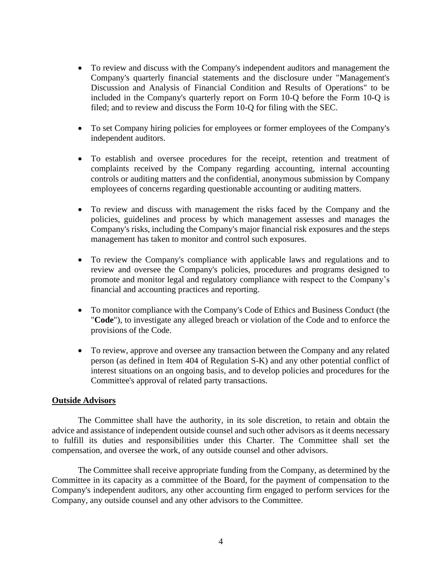- To review and discuss with the Company's independent auditors and management the Company's quarterly financial statements and the disclosure under "Management's Discussion and Analysis of Financial Condition and Results of Operations" to be included in the Company's quarterly report on Form 10-Q before the Form 10-Q is filed; and to review and discuss the Form 10-Q for filing with the SEC.
- To set Company hiring policies for employees or former employees of the Company's independent auditors.
- To establish and oversee procedures for the receipt, retention and treatment of complaints received by the Company regarding accounting, internal accounting controls or auditing matters and the confidential, anonymous submission by Company employees of concerns regarding questionable accounting or auditing matters.
- To review and discuss with management the risks faced by the Company and the policies, guidelines and process by which management assesses and manages the Company's risks, including the Company's major financial risk exposures and the steps management has taken to monitor and control such exposures.
- To review the Company's compliance with applicable laws and regulations and to review and oversee the Company's policies, procedures and programs designed to promote and monitor legal and regulatory compliance with respect to the Company's financial and accounting practices and reporting.
- To monitor compliance with the Company's Code of Ethics and Business Conduct (the "**Code**"), to investigate any alleged breach or violation of the Code and to enforce the provisions of the Code.
- To review, approve and oversee any transaction between the Company and any related person (as defined in Item 404 of Regulation S-K) and any other potential conflict of interest situations on an ongoing basis, and to develop policies and procedures for the Committee's approval of related party transactions.

#### **Outside Advisors**

The Committee shall have the authority, in its sole discretion, to retain and obtain the advice and assistance of independent outside counsel and such other advisors as it deems necessary to fulfill its duties and responsibilities under this Charter. The Committee shall set the compensation, and oversee the work, of any outside counsel and other advisors.

The Committee shall receive appropriate funding from the Company, as determined by the Committee in its capacity as a committee of the Board, for the payment of compensation to the Company's independent auditors, any other accounting firm engaged to perform services for the Company, any outside counsel and any other advisors to the Committee.